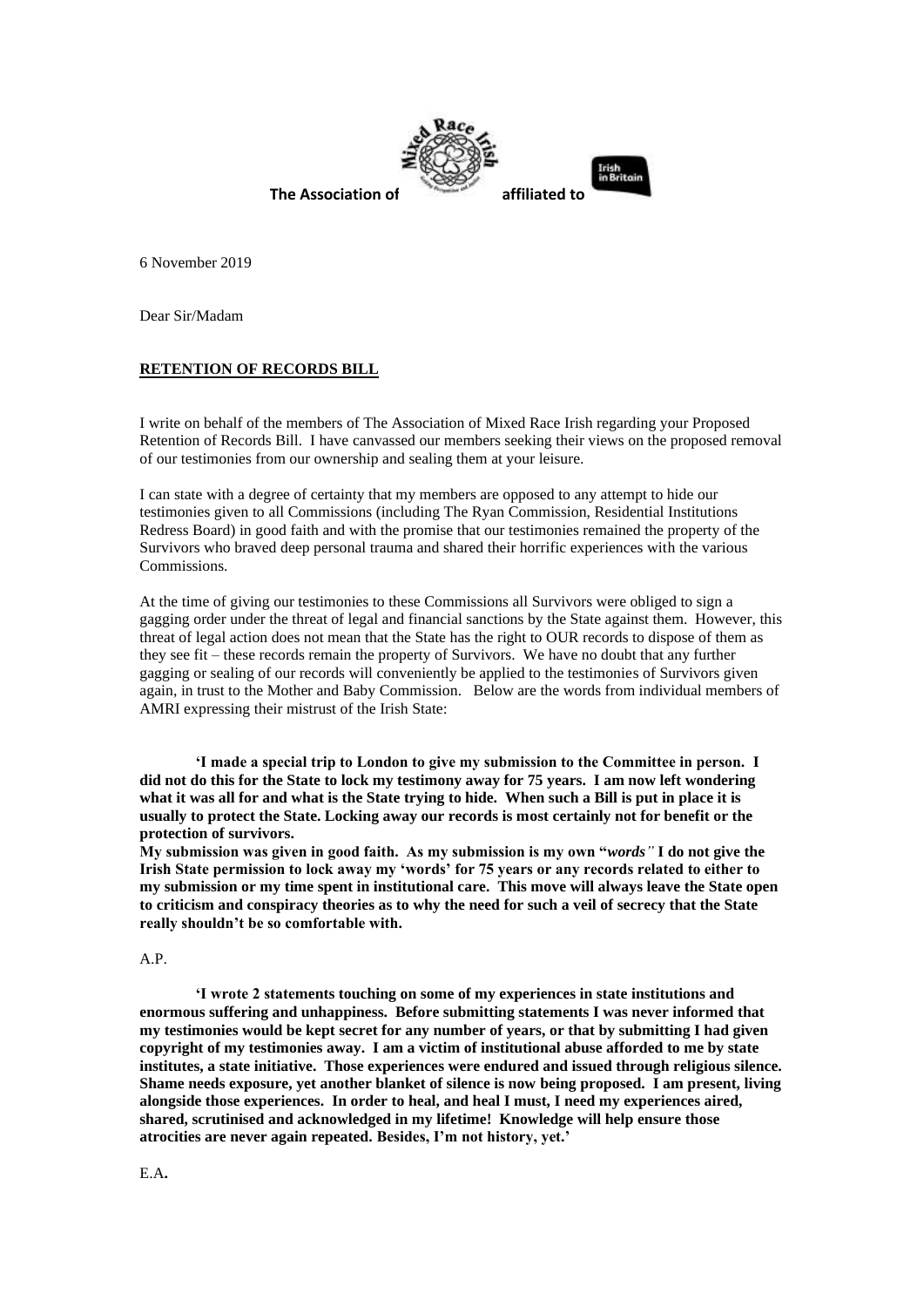

6 November 2019

Dear Sir/Madam

# **RETENTION OF RECORDS BILL**

I write on behalf of the members of The Association of Mixed Race Irish regarding your Proposed Retention of Records Bill. I have canvassed our members seeking their views on the proposed removal of our testimonies from our ownership and sealing them at your leisure.

I can state with a degree of certainty that my members are opposed to any attempt to hide our testimonies given to all Commissions (including The Ryan Commission, Residential Institutions Redress Board) in good faith and with the promise that our testimonies remained the property of the Survivors who braved deep personal trauma and shared their horrific experiences with the various Commissions.

At the time of giving our testimonies to these Commissions all Survivors were obliged to sign a gagging order under the threat of legal and financial sanctions by the State against them. However, this threat of legal action does not mean that the State has the right to OUR records to dispose of them as they see fit – these records remain the property of Survivors. We have no doubt that any further gagging or sealing of our records will conveniently be applied to the testimonies of Survivors given again, in trust to the Mother and Baby Commission. Below are the words from individual members of AMRI expressing their mistrust of the Irish State:

**'I made a special trip to London to give my submission to the Committee in person. I did not do this for the State to lock my testimony away for 75 years. I am now left wondering what it was all for and what is the State trying to hide. When such a Bill is put in place it is usually to protect the State. Locking away our records is most certainly not for benefit or the protection of survivors.**

**My submission was given in good faith. As my submission is my own "***words"* **I do not give the Irish State permission to lock away my 'words' for 75 years or any records related to either to my submission or my time spent in institutional care. This move will always leave the State open to criticism and conspiracy theories as to why the need for such a veil of secrecy that the State really shouldn't be so comfortable with.**

### A.P.

**'I wrote 2 statements touching on some of my experiences in state institutions and enormous suffering and unhappiness. Before submitting statements I was never informed that my testimonies would be kept secret for any number of years, or that by submitting I had given copyright of my testimonies away. I am a victim of institutional abuse afforded to me by state institutes, a state initiative. Those experiences were endured and issued through religious silence. Shame needs exposure, yet another blanket of silence is now being proposed. I am present, living alongside those experiences. In order to heal, and heal I must, I need my experiences aired, shared, scrutinised and acknowledged in my lifetime! Knowledge will help ensure those atrocities are never again repeated. Besides, I'm not history, yet.'**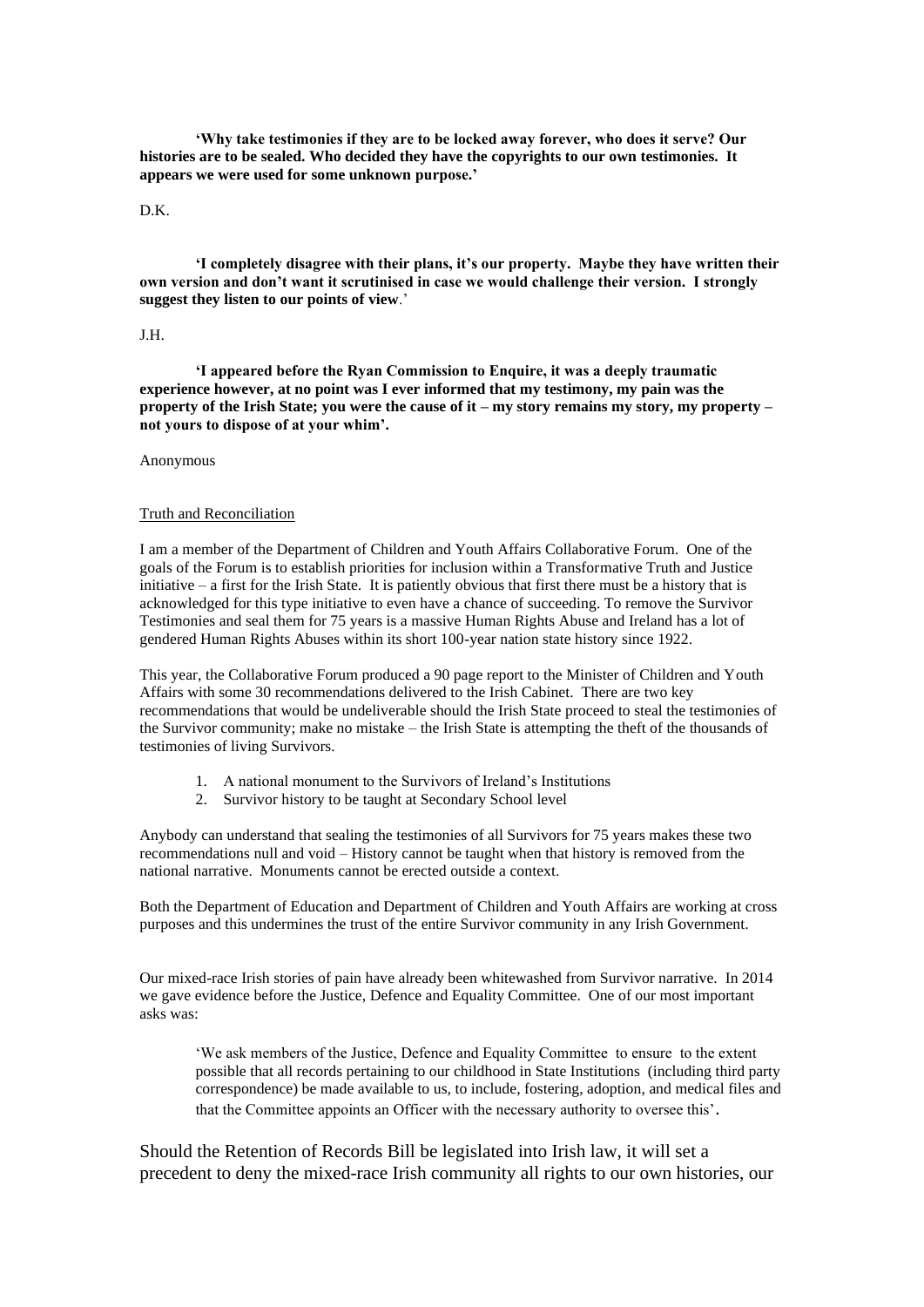**'Why take testimonies if they are to be locked away forever, who does it serve? Our histories are to be sealed. Who decided they have the copyrights to our own testimonies. It appears we were used for some unknown purpose.'**

### D.K.

**'I completely disagree with their plans, it's our property. Maybe they have written their own version and don't want it scrutinised in case we would challenge their version. I strongly suggest they listen to our points of view**.'

## J.H.

**'I appeared before the Ryan Commission to Enquire, it was a deeply traumatic experience however, at no point was I ever informed that my testimony, my pain was the property of the Irish State; you were the cause of it – my story remains my story, my property – not yours to dispose of at your whim'.**

#### Anonymous

### Truth and Reconciliation

I am a member of the Department of Children and Youth Affairs Collaborative Forum. One of the goals of the Forum is to establish priorities for inclusion within a Transformative Truth and Justice initiative – a first for the Irish State. It is patiently obvious that first there must be a history that is acknowledged for this type initiative to even have a chance of succeeding. To remove the Survivor Testimonies and seal them for 75 years is a massive Human Rights Abuse and Ireland has a lot of gendered Human Rights Abuses within its short 100-year nation state history since 1922.

This year, the Collaborative Forum produced a 90 page report to the Minister of Children and Youth Affairs with some 30 recommendations delivered to the Irish Cabinet. There are two key recommendations that would be undeliverable should the Irish State proceed to steal the testimonies of the Survivor community; make no mistake – the Irish State is attempting the theft of the thousands of testimonies of living Survivors.

- 1. A national monument to the Survivors of Ireland's Institutions
- 2. Survivor history to be taught at Secondary School level

Anybody can understand that sealing the testimonies of all Survivors for 75 years makes these two recommendations null and void – History cannot be taught when that history is removed from the national narrative. Monuments cannot be erected outside a context.

Both the Department of Education and Department of Children and Youth Affairs are working at cross purposes and this undermines the trust of the entire Survivor community in any Irish Government.

Our mixed-race Irish stories of pain have already been whitewashed from Survivor narrative. In 2014 we gave evidence before the Justice, Defence and Equality Committee. One of our most important asks was:

'We ask members of the Justice, Defence and Equality Committee to ensure to the extent possible that all records pertaining to our childhood in State Institutions (including third party correspondence) be made available to us, to include, fostering, adoption, and medical files and that the Committee appoints an Officer with the necessary authority to oversee this'.

Should the Retention of Records Bill be legislated into Irish law, it will set a precedent to deny the mixed-race Irish community all rights to our own histories, our